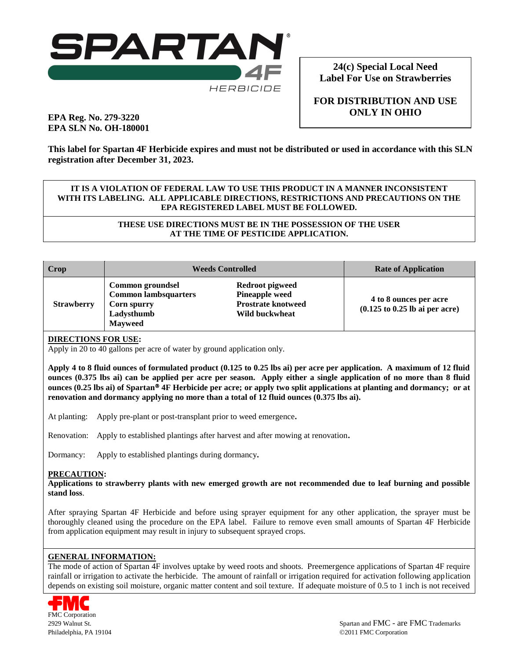

**24(c) Special Local Need Label For Use on Strawberries**

**FOR DISTRIBUTION AND USE ONLY IN OHIO**

# **EPA Reg. No. 279-3220 EPA SLN No. OH-180001**

**This label for Spartan 4F Herbicide expires and must not be distributed or used in accordance with this SLN registration after December 31, 2023.**

### **IT IS A VIOLATION OF FEDERAL LAW TO USE THIS PRODUCT IN A MANNER INCONSISTENT WITH ITS LABELING. ALL APPLICABLE DIRECTIONS, RESTRICTIONS AND PRECAUTIONS ON THE EPA REGISTERED LABEL MUST BE FOLLOWED.**

**THESE USE DIRECTIONS MUST BE IN THE POSSESSION OF THE USER AT THE TIME OF PESTICIDE APPLICATION.**

| Crop              | <b>Weeds Controlled</b>                                                                        |                                                                                                | <b>Rate of Application</b>                                                          |
|-------------------|------------------------------------------------------------------------------------------------|------------------------------------------------------------------------------------------------|-------------------------------------------------------------------------------------|
| <b>Strawberry</b> | Common groundsel<br><b>Common lambsquarters</b><br>Corn spurry<br>Ladysthumb<br><b>Mayweed</b> | <b>Redroot pigweed</b><br><b>Pineapple weed</b><br><b>Prostrate knotweed</b><br>Wild buckwheat | 4 to 8 ounces per acre<br>$(0.125 \text{ to } 0.25 \text{ lb} \text{ ai per acre})$ |

## **DIRECTIONS FOR USE:**

Apply in 20 to 40 gallons per acre of water by ground application only.

**Apply 4 to 8 fluid ounces of formulated product (0.125 to 0.25 lbs ai) per acre per application. A maximum of 12 fluid ounces (0.375 lbs ai) can be applied per acre per season. Apply either a single application of no more than 8 fluid ounces (0.25 lbs ai) of Spartan**<sup>®</sup> 4F Herbicide per acre; or apply two split applications at planting and dormancy; or at **renovation and dormancy applying no more than a total of 12 fluid ounces (0.375 lbs ai).**

At planting: Apply pre-plant or post-transplant prior to weed emergence**.**

Renovation: Apply to established plantings after harvest and after mowing at renovation**.**

Dormancy: Apply to established plantings during dormancy**.**

#### **PRECAUTION:**

**Applications to strawberry plants with new emerged growth are not recommended due to leaf burning and possible stand loss**.

After spraying Spartan 4F Herbicide and before using sprayer equipment for any other application, the sprayer must be thoroughly cleaned using the procedure on the EPA label. Failure to remove even small amounts of Spartan 4F Herbicide from application equipment may result in injury to subsequent sprayed crops.

#### **GENERAL INFORMATION:**

The mode of action of Spartan 4F involves uptake by weed roots and shoots. Preemergence applications of Spartan 4F require rainfall or irrigation to activate the herbicide. The amount of rainfall or irrigation required for activation following application depends on existing soil moisture, organic matter content and soil texture. If adequate moisture of 0.5 to 1 inch is not received